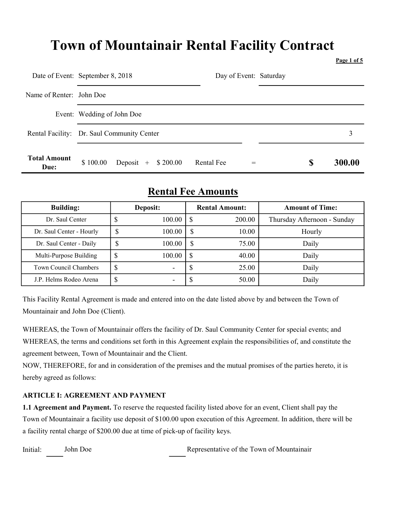# Town of Mountainair Rental Facility Contract

Page 1 of 5

|                             | Date of Event: September 8, 2018           | Day of Event: Saturday |             |
|-----------------------------|--------------------------------------------|------------------------|-------------|
| Name of Renter: John Doe    |                                            |                        |             |
|                             | Event: Wedding of John Doe                 |                        |             |
|                             | Rental Facility: Dr. Saul Community Center |                        |             |
| <b>Total Amount</b><br>Due: | \$100.00<br>Deposit $+$ \$ 200.00          | Rental Fee<br>$=$      | 300.00<br>S |

# Rental Fee Amounts

| <b>Building:</b>         | Deposit: |        | <b>Rental Amount:</b> |        | <b>Amount of Time:</b>      |  |
|--------------------------|----------|--------|-----------------------|--------|-----------------------------|--|
| Dr. Saul Center          | D        | 100.00 |                       | 200.00 | Thursday Afternoon - Sunday |  |
| Dr. Saul Center - Hourly | D        | 100.00 | \$                    | 10.00  | Hourly                      |  |
| Dr. Saul Center - Daily  | ᠕        | 100.00 | S                     | 75.00  | Daily                       |  |
| Multi-Purpose Building   | \$       | 100.00 |                       | 40.00  | Daily                       |  |
| Town Council Chambers    | \$       |        | ъĐ                    | 25.00  | Daily                       |  |
| J.P. Helms Rodeo Arena   | D        | -      | АĐ                    | 50.00  | Daily                       |  |

This Facility Rental Agreement is made and entered into on the date listed above by and between the Town of Mountainair and John Doe (Client).

WHEREAS, the Town of Mountainair offers the facility of Dr. Saul Community Center for special events; and WHEREAS, the terms and conditions set forth in this Agreement explain the responsibilities of, and constitute the agreement between, Town of Mountainair and the Client.

NOW, THEREFORE, for and in consideration of the premises and the mutual promises of the parties hereto, it is hereby agreed as follows:

### ARTICLE I: AGREEMENT AND PAYMENT

1.1 Agreement and Payment. To reserve the requested facility listed above for an event, Client shall pay the Town of Mountainair a facility use deposit of \$100.00 upon execution of this Agreement. In addition, there will be a facility rental charge of \$200.00 due at time of pick-up of facility keys.

Initial: John Doe Representative of the Town of Mountainair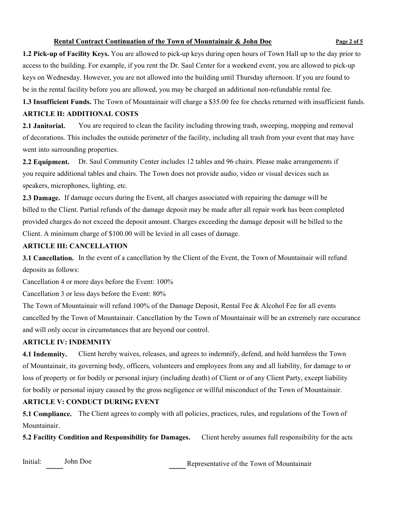#### Rental Contract Continuation of the Town of Mountainair & John Doe Page 2 of 5

1.2 Pick-up of Facility Keys. You are allowed to pick-up keys during open hours of Town Hall up to the day prior to access to the building. For example, if you rent the Dr. Saul Center for a weekend event, you are allowed to pick-up keys on Wednesday. However, you are not allowed into the building until Thursday afternoon. If you are found to be in the rental facility before you are allowed, you may be charged an additional non-refundable rental fee.

1.3 Insufficient Funds. The Town of Mountainair will charge a \$35.00 fee for checks returned with insufficient funds. ARTICLE II: ADDITIONAL COSTS

2.1 Janitorial. You are required to clean the facility including throwing trash, sweeping, mopping and removal of decorations. This includes the outside perimeter of the facility, including all trash from your event that may have went into surrounding properties.

2.2 Equipment. Dr. Saul Community Center includes 12 tables and 96 chairs. Please make arrangements if you require additional tables and chairs. The Town does not provide audio, video or visual devices such as speakers, microphones, lighting, etc.

2.3 Damage. If damage occurs during the Event, all charges associated with repairing the damage will be billed to the Client. Partial refunds of the damage deposit may be made after all repair work has been completed provided charges do not exceed the deposit amount. Charges exceeding the damage deposit will be billed to the Client. A minimum charge of \$100.00 will be levied in all cases of damage.

#### ARTICLE III: CANCELLATION

3.1 Cancellation. In the event of a cancellation by the Client of the Event, the Town of Mountainair will refund deposits as follows:

Cancellation 4 or more days before the Event: 100%

Cancellation 3 or less days before the Event: 80%

The Town of Mountainair will refund 100% of the Damage Deposit, Rental Fee & Alcohol Fee for all events cancelled by the Town of Mountainair. Cancellation by the Town of Mountainair will be an extremely rare occurance and will only occur in circumstances that are beyond our control.

#### ARTICLE IV: INDEMNITY

4.1 Indemnity. Client hereby waives, releases, and agrees to indemnify, defend, and hold harmless the Town of Mountainair, its governing body, officers, volunteers and employees from any and all liability, for damage to or loss of property or for bodily or personal injury (including death) of Client or of any Client Party, except liability for bodily or personal injury caused by the gross negligence or willful misconduct of the Town of Mountainair.

### ARTICLE V: CONDUCT DURING EVENT

5.1 Compliance. The Client agrees to comply with all policies, practices, rules, and regulations of the Town of Mountainair.

5.2 Facility Condition and Responsibility for Damages. Client hereby assumes full responsibility for the acts

Initial:

John Doe<br>Representative of the Town of Mountainair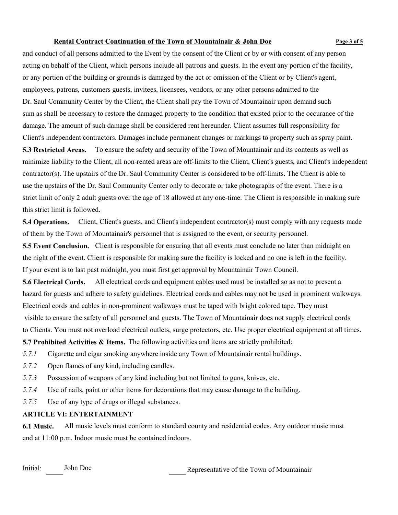#### Rental Contract Continuation of the Town of Mountainair & John Doe Page 3 of 5

and conduct of all persons admitted to the Event by the consent of the Client or by or with consent of any person acting on behalf of the Client, which persons include all patrons and guests. In the event any portion of the facility, or any portion of the building or grounds is damaged by the act or omission of the Client or by Client's agent, employees, patrons, customers guests, invitees, licensees, vendors, or any other persons admitted to the Dr. Saul Community Center by the Client, the Client shall pay the Town of Mountainair upon demand such sum as shall be necessary to restore the damaged property to the condition that existed prior to the occurance of the damage. The amount of such damage shall be considered rent hereunder. Client assumes full responsibility for Client's independent contractors. Damages include permanent changes or markings to property such as spray paint. 5.3 Restricted Areas. To ensure the safety and security of the Town of Mountainair and its contents as well as minimize liability to the Client, all non-rented areas are off-limits to the Client, Client's guests, and Client's independent contractor(s). The upstairs of the Dr. Saul Community Center is considered to be off-limits. The Client is able to use the upstairs of the Dr. Saul Community Center only to decorate or take photographs of the event. There is a strict limit of only 2 adult guests over the age of 18 allowed at any one-time. The Client is responsible in making sure this strict limit is followed.

5.4 Operations. Client, Client's guests, and Client's independent contractor(s) must comply with any requests made of them by the Town of Mountainair's personnel that is assigned to the event, or security personnel.

5.5 Event Conclusion. Client is responsible for ensuring that all events must conclude no later than midnight on the night of the event. Client is responsible for making sure the facility is locked and no one is left in the facility. If your event is to last past midnight, you must first get approval by Mountainair Town Council.

5.6 Electrical Cords. All electrical cords and equipment cables used must be installed so as not to present a hazard for guests and adhere to safety guidelines. Electrical cords and cables may not be used in prominent walkways. Electrical cords and cables in non-prominent walkways must be taped with bright colored tape. They must visible to ensure the safety of all personnel and guests. The Town of Mountainair does not supply electrical cords to Clients. You must not overload electrical outlets, surge protectors, etc. Use proper electrical equipment at all times.

5.7 Prohibited Activities & Items. The following activities and items are strictly prohibited:

- 5.7.1 Cigarette and cigar smoking anywhere inside any Town of Mountainair rental buildings.
- 5.7.2 Open flames of any kind, including candles.
- 5.7.3 Possession of weapons of any kind including but not limited to guns, knives, etc.
- 5.7.4 Use of nails, paint or other items for decorations that may cause damage to the building.
- 5.7.5 Use of any type of drugs or illegal substances.

#### ARTICLE VI: ENTERTAINMENT

6.1 Music. All music levels must conform to standard county and residential codes. Any outdoor music must end at 11:00 p.m. Indoor music must be contained indoors.

Initial: John Doe

Representative of the Town of Mountainair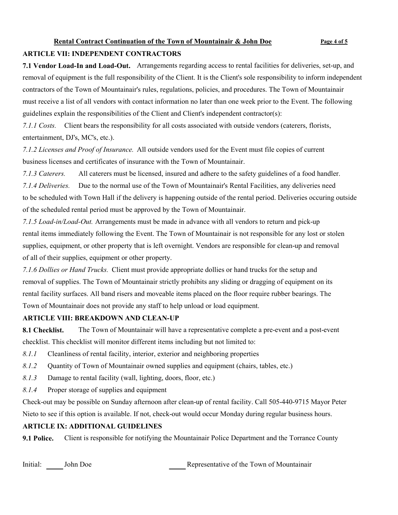#### Rental Contract Continuation of the Town of Mountainair & John Doe Page 4 of 5

#### ARTICLE VII: INDEPENDENT CONTRACTORS

7.1 Vendor Load-In and Load-Out. Arrangements regarding access to rental facilities for deliveries, set-up, and removal of equipment is the full responsibility of the Client. It is the Client's sole responsibility to inform independent contractors of the Town of Mountainair's rules, regulations, policies, and procedures. The Town of Mountainair must receive a list of all vendors with contact information no later than one week prior to the Event. The following guidelines explain the responsibilities of the Client and Client's independent contractor(s):

7.1.1 Costs. Client bears the responsibility for all costs associated with outside vendors (caterers, florists, entertainment, DJ's, MC's, etc.).

7.1.2 Licenses and Proof of Insurance. All outside vendors used for the Event must file copies of current business licenses and certificates of insurance with the Town of Mountainair.

7.1.3 Caterers. All caterers must be licensed, insured and adhere to the safety guidelines of a food handler. 7.1.4 Deliveries. Due to the normal use of the Town of Mountainair's Rental Facilities, any deliveries need to be scheduled with Town Hall if the delivery is happening outside of the rental period. Deliveries occuring outside of the scheduled rental period must be approved by the Town of Mountainair.

7.1.5 Load-in/Load-Out. Arrangements must be made in advance with all vendors to return and pick-up rental items immediately following the Event. The Town of Mountainair is not responsible for any lost or stolen supplies, equipment, or other property that is left overnight. Vendors are responsible for clean-up and removal of all of their supplies, equipment or other property.

7.1.6 Dollies or Hand Trucks. Client must provide appropriate dollies or hand trucks for the setup and removal of supplies. The Town of Mountainair strictly prohibits any sliding or dragging of equipment on its rental facility surfaces. All band risers and moveable items placed on the floor require rubber bearings. The Town of Mountainair does not provide any staff to help unload or load equipment.

#### ARTICLE VIII: BREAKDOWN AND CLEAN-UP

8.1 Checklist. The Town of Mountainair will have a representative complete a pre-event and a post-event checklist. This checklist will monitor different items including but not limited to:

8.1.1 Cleanliness of rental facility, interior, exterior and neighboring properties

8.1.2 Cuantity of Town of Mountainair owned supplies and equipment (chairs, tables, etc.)

- 8.1.3 Damage to rental facility (wall, lighting, doors, floor, etc.)
- 8.1.4 Proper storage of supplies and equipment

Check-out may be possible on Sunday afternoon after clean-up of rental facility. Call 505-440-9715 Mayor Peter Nieto to see if this option is available. If not, check-out would occur Monday during regular business hours.

#### ARTICLE IX: ADDITIONAL GUIDELINES

9.1 Police. Client is responsible for notifying the Mountainair Police Department and the Torrance County

Initial: John Doe

Representative of the Town of Mountainair